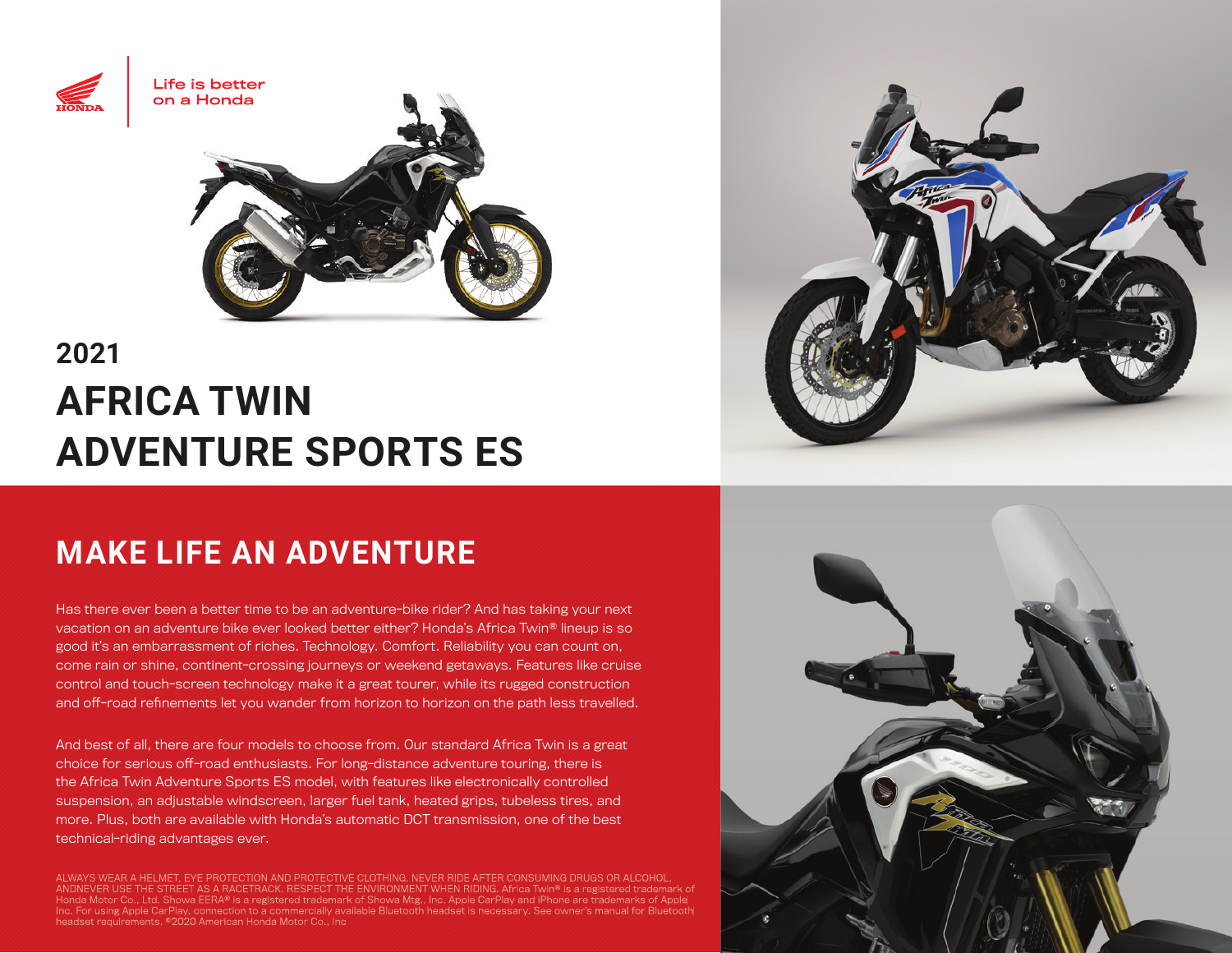

# **2021 AFRICA TWIN ADVENTURE SPORTS ES**

## **MAKE LIFE AN ADVENTURE**

Has there ever been a better time to be an adventure-bike rider? And has taking your next vacation on an adventure bike ever looked better either? Honda's Africa Twin® lineup is so good it's an embarrassment of riches. Technology. Comfort. Reliability you can count on, come rain or shine, continent-crossing journeys or weekend getaways. Features like cruise control and touch-screen technology make it a great tourer, while its rugged construction and off-road refinements let you wander from horizon to horizon on the path less travelled.

And best of all, there are four models to choose from. Our standard Africa Twin is a great choice for serious off-road enthusiasts. For long-distance adventure touring, there is the Africa Twin Adventure Sports ES model, with features like electronically controlled suspension, an adjustable windscreen, larger fuel tank, heated grips, tubeless tires, and more. Plus, both are available with Honda's automatic DCT transmission, one of the best technical-riding advantages ever.

ALWAYS WEAR A HELMET, EYE PROTECTION AND PROTECTIVE CLOTHING. NEVER RIDE AFTER CONSUMING DRUGS OR ALCOHOL, ANDNEVER USE THE STREET AS A RACETRACK. RESPECT THE ENVIRONMENT WHEN RIDING. Africa Twin® is a registered trademark of Honda Motor Co., Ltd. Showa EERA® is a registered trademark of Showa Mtg., Inc. Apple CarPlay and iPhone are trademarks of Apple Inc. For using Apple CarPlay, connection to a commercially available Bluetooth headset is necessary. See owner's manual for Bluetooth headset requirements. ©2020 American Honda Motor Co., Inc



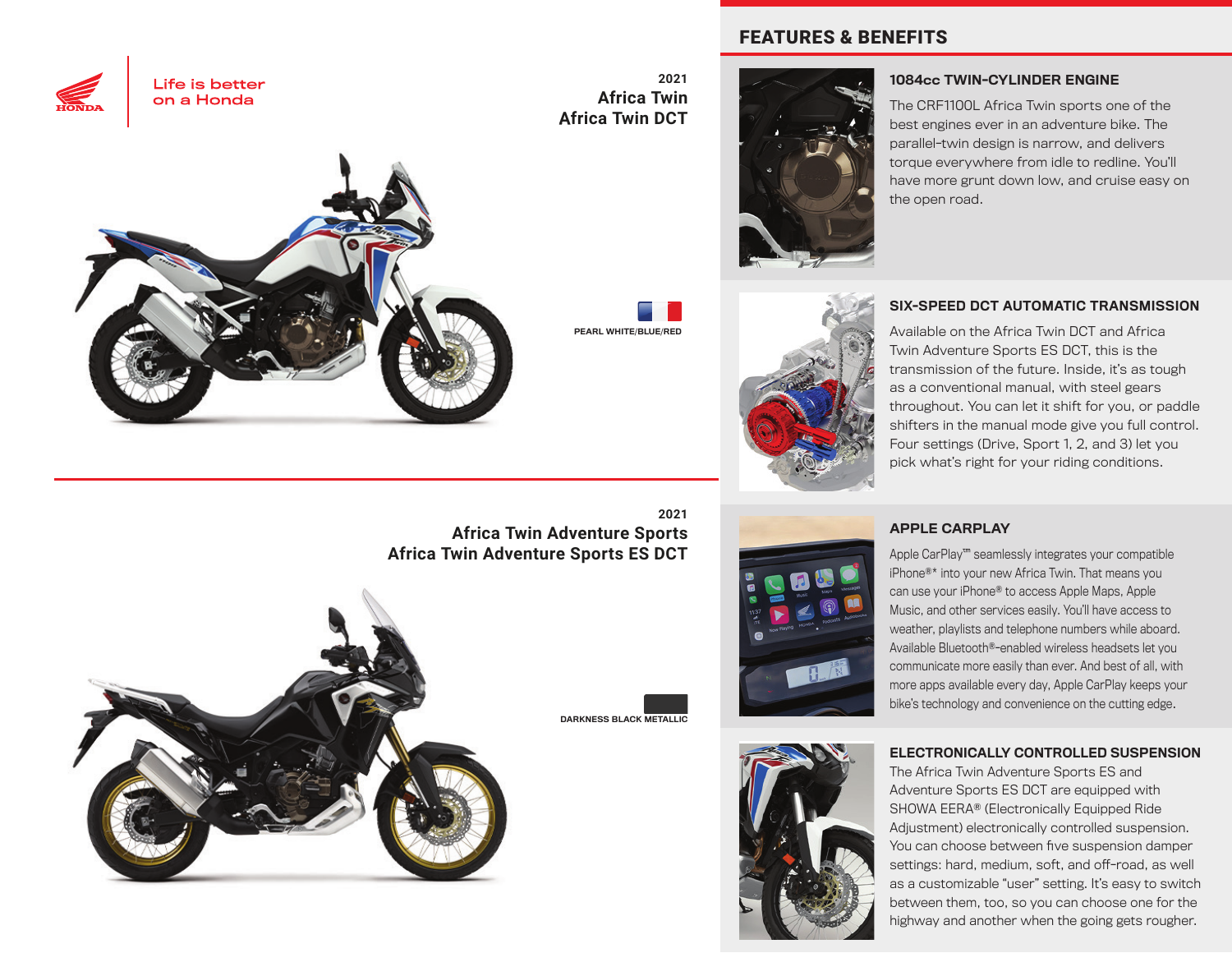



**2021 Africa Twin Africa Twin DCT**

PEARL WHITE/BLUE/RED







#### 1084cc TWIN-CYLINDER ENGINE

The CRF1100L Africa Twin sports one of the best engines ever in an adventure bike. The parallel-twin design is narrow, and delivers torque everywhere from idle to redline. You'll have more grunt down low, and cruise easy on the open road.

#### SIX-SPEED DCT AUTOMATIC TRANSMISSION

Available on the Africa Twin DCT and Africa Twin Adventure Sports ES DCT, this is the transmission of the future. Inside, it's as tough as a conventional manual, with steel gears throughout. You can let it shift for you, or paddle shifters in the manual mode give you full control. Four settings (Drive, Sport 1, 2, and 3) let you pick what's right for your riding conditions.

**Africa Twin Adventure Sports Africa Twin Adventure Sports ES DCT**



**2021**

DARKNESS BLACK METALLIC



#### APPLE CARPLAY

Apple CarPlay™ seamlessly integrates your compatible iPhone®\* into your new Africa Twin. That means you can use your iPhone® to access Apple Maps, Apple Music, and other services easily. You'll have access to weather, playlists and telephone numbers while aboard. Available Bluetooth®-enabled wireless headsets let you communicate more easily than ever. And best of all, with more apps available every day, Apple CarPlay keeps your bike's technology and convenience on the cutting edge.



#### ELECTRONICALLY CONTROLLED SUSPENSION

The Africa Twin Adventure Sports ES and Adventure Sports ES DCT are equipped with SHOWA EERA® (Electronically Equipped Ride Adjustment) electronically controlled suspension. You can choose between five suspension damper settings: hard, medium, soft, and off-road, as well as a customizable "user" setting. It's easy to switch between them, too, so you can choose one for the highway and another when the going gets rougher.